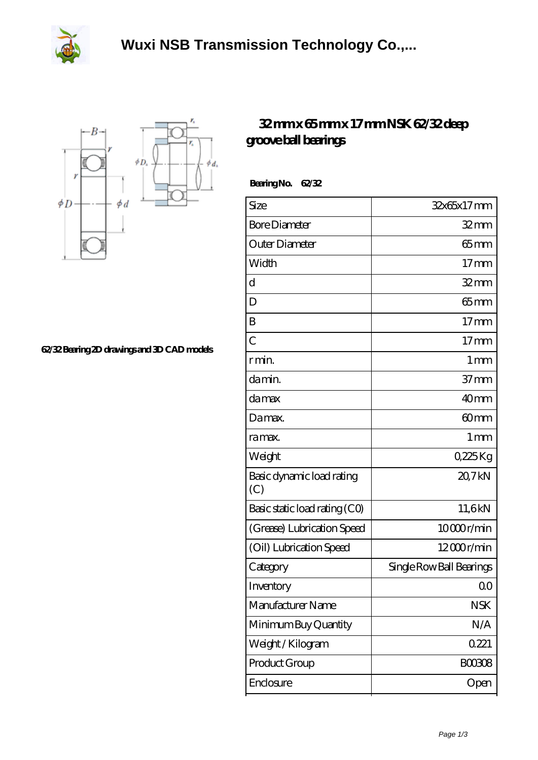



**[62/32 Bearing 2D drawings and 3D CAD models](https://herbal-circle.com/pic-371326.html)**

## **[32 mm x 65 mm x 17 mm NSK 62/32 deep](https://herbal-circle.com/nsk-62-32-bearing/) [groove ball bearings](https://herbal-circle.com/nsk-62-32-bearing/)**

 **Bearing No. 62/32**

| Size                             | 32x65x17mm               |
|----------------------------------|--------------------------|
| <b>Bore Diameter</b>             | $32 \text{mm}$           |
| Outer Diameter                   | $65 \text{mm}$           |
| Width                            | 17 <sub>mm</sub>         |
| $\mathbf d$                      | $32$ mm                  |
| D                                | $65$ mm                  |
| B                                | $17 \text{mm}$           |
| $\overline{C}$                   | 17 <sub>mm</sub>         |
| r min.                           | $1 \,\mathrm{mm}$        |
| da min.                          | 37 <sub>mm</sub>         |
| damax                            | 40mm                     |
| Damax.                           | 60 <sub>mm</sub>         |
| ra max.                          | 1 <sub>mm</sub>          |
| Weight                           | 0,225Kg                  |
| Basic dynamic load rating<br>(C) | 20,7kN                   |
| Basic static load rating (CO)    | 11,6kN                   |
| (Grease) Lubrication Speed       | 10000r/min               |
| (Oil) Lubrication Speed          | $12000$ r/min            |
| Category                         | Single Row Ball Bearings |
| Inventory                        | 0 <sub>0</sub>           |
| Manufacturer Name                | <b>NSK</b>               |
| Minimum Buy Quantity             | N/A                      |
| Weight / Kilogram                | 0221                     |
| Product Group                    | <b>BOO3O8</b>            |
| Enclosure                        | Open                     |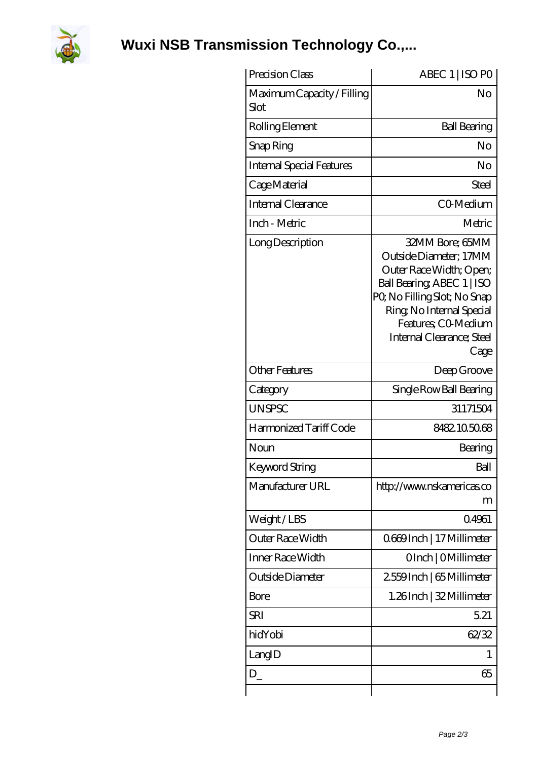

**[Wuxi NSB Transmission Technology Co.,...](https://herbal-circle.com)**

| Precision Class                    | ABEC 1   ISO PO                                                                                                                                                                                                            |
|------------------------------------|----------------------------------------------------------------------------------------------------------------------------------------------------------------------------------------------------------------------------|
| Maximum Capacity / Filling<br>Slot | No                                                                                                                                                                                                                         |
| Rolling Element                    | <b>Ball Bearing</b>                                                                                                                                                                                                        |
| Snap Ring                          | No                                                                                                                                                                                                                         |
| <b>Internal Special Features</b>   | No                                                                                                                                                                                                                         |
| Cage Material                      | Steel                                                                                                                                                                                                                      |
| Internal Clearance                 | CO-Medium                                                                                                                                                                                                                  |
| Inch - Metric                      | Metric                                                                                                                                                                                                                     |
| Long Description                   | 32MM Bore; 65MM<br>Outside Diameter; 17MM<br>Outer Race Width; Open;<br>Ball Bearing, ABEC 1   ISO<br>PQ No Filling Slot; No Snap<br>Ring, No Internal Special<br>Features; CO-Medium<br>Internal Clearance; Steel<br>Cage |
| <b>Other Features</b>              | Deep Groove                                                                                                                                                                                                                |
| Category                           | Single Row Ball Bearing                                                                                                                                                                                                    |
| <b>UNSPSC</b>                      | 31171504                                                                                                                                                                                                                   |
| Harmonized Tariff Code             | 8482.105068                                                                                                                                                                                                                |
| Noun                               | Bearing                                                                                                                                                                                                                    |
| Keyword String                     | Ball                                                                                                                                                                                                                       |
| Manufacturer URL                   | http://www.nskamericas.co<br>m                                                                                                                                                                                             |
| Weight/LBS                         | 04961                                                                                                                                                                                                                      |
| Outer Race Width                   | 0669Inch   17 Millimeter                                                                                                                                                                                                   |
| Inner Race Width                   | OInch   OMillimeter                                                                                                                                                                                                        |
| Outside Diameter                   | 2559Inch   65 Millimeter                                                                                                                                                                                                   |
| <b>Bore</b>                        | 1.26Inch   32 Millimeter                                                                                                                                                                                                   |
| SRI                                | 5.21                                                                                                                                                                                                                       |
| hidYobi                            | 62/32                                                                                                                                                                                                                      |
| LangID                             | 1                                                                                                                                                                                                                          |
| $D_{-}$                            | 65                                                                                                                                                                                                                         |
|                                    |                                                                                                                                                                                                                            |